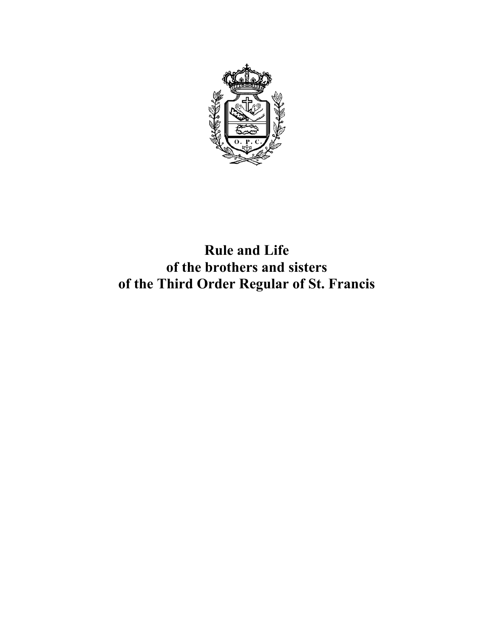

**Rule and Life of the brothers and sisters of the Third Order Regular of St. Francis**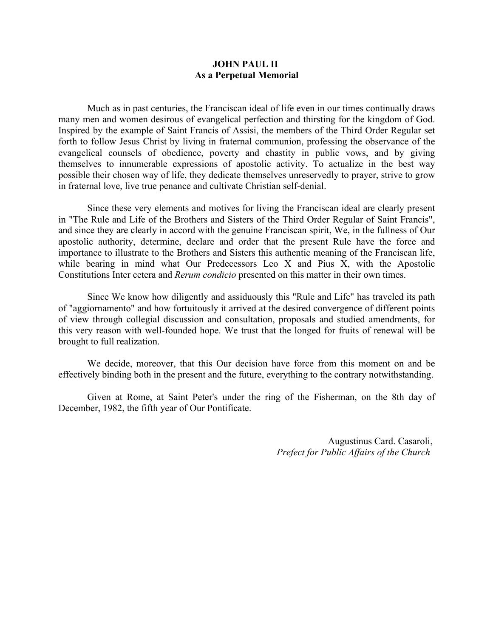#### **JOHN PAUL II As a Perpetual Memorial**

Much as in past centuries, the Franciscan ideal of life even in our times continually draws many men and women desirous of evangelical perfection and thirsting for the kingdom of God. Inspired by the example of Saint Francis of Assisi, the members of the Third Order Regular set forth to follow Jesus Christ by living in fraternal communion, professing the observance of the evangelical counsels of obedience, poverty and chastity in public vows, and by giving themselves to innumerable expressions of apostolic activity. To actualize in the best way possible their chosen way of life, they dedicate themselves unreservedly to prayer, strive to grow in fraternal love, live true penance and cultivate Christian self-denial.

Since these very elements and motives for living the Franciscan ideal are clearly present in "The Rule and Life of the Brothers and Sisters of the Third Order Regular of Saint Francis", and since they are clearly in accord with the genuine Franciscan spirit, We, in the fullness of Our apostolic authority, determine, declare and order that the present Rule have the force and importance to illustrate to the Brothers and Sisters this authentic meaning of the Franciscan life, while bearing in mind what Our Predecessors Leo X and Pius X, with the Apostolic Constitutions Inter cetera and *Rerum condicio* presented on this matter in their own times.

Since We know how diligently and assiduously this "Rule and Life" has traveled its path of "aggiornamento" and how fortuitously it arrived at the desired convergence of different points of view through collegial discussion and consultation, proposals and studied amendments, for this very reason with well-founded hope. We trust that the longed for fruits of renewal will be brought to full realization.

We decide, moreover, that this Our decision have force from this moment on and be effectively binding both in the present and the future, everything to the contrary notwithstanding.

Given at Rome, at Saint Peter's under the ring of the Fisherman, on the 8th day of December, 1982, the fifth year of Our Pontificate.

> Augustinus Card. Casaroli, *Prefect for Public Affairs of the Church*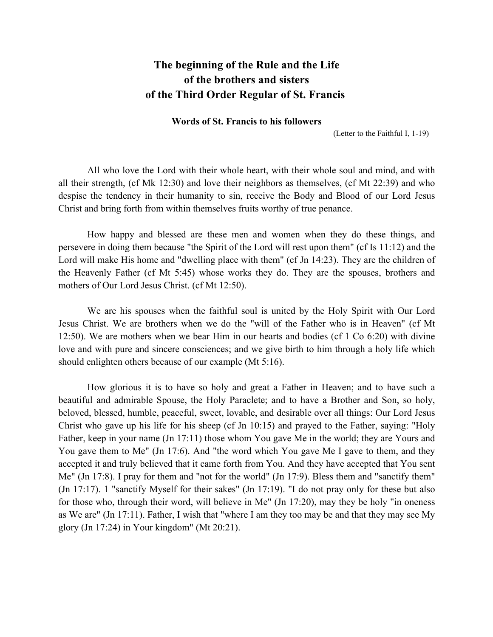# **The beginning of the Rule and the Life of the brothers and sisters of the Third Order Regular of St. Francis**

#### **Words of St. Francis to his followers**

(Letter to the Faithful I, 1-19)

All who love the Lord with their whole heart, with their whole soul and mind, and with all their strength, (cf Mk 12:30) and love their neighbors as themselves, (cf Mt 22:39) and who despise the tendency in their humanity to sin, receive the Body and Blood of our Lord Jesus Christ and bring forth from within themselves fruits worthy of true penance.

How happy and blessed are these men and women when they do these things, and persevere in doing them because "the Spirit of the Lord will rest upon them" (cf Is 11:12) and the Lord will make His home and "dwelling place with them" (cf Jn 14:23). They are the children of the Heavenly Father (cf Mt 5:45) whose works they do. They are the spouses, brothers and mothers of Our Lord Jesus Christ. (cf Mt 12:50).

We are his spouses when the faithful soul is united by the Holy Spirit with Our Lord Jesus Christ. We are brothers when we do the "will of the Father who is in Heaven" (cf Mt 12:50). We are mothers when we bear Him in our hearts and bodies (cf 1 Co 6:20) with divine love and with pure and sincere consciences; and we give birth to him through a holy life which should enlighten others because of our example (Mt 5:16).

How glorious it is to have so holy and great a Father in Heaven; and to have such a beautiful and admirable Spouse, the Holy Paraclete; and to have a Brother and Son, so holy, beloved, blessed, humble, peaceful, sweet, lovable, and desirable over all things: Our Lord Jesus Christ who gave up his life for his sheep (cf Jn 10:15) and prayed to the Father, saying: "Holy Father, keep in your name (Jn 17:11) those whom You gave Me in the world; they are Yours and You gave them to Me" (Jn 17:6). And "the word which You gave Me I gave to them, and they accepted it and truly believed that it came forth from You. And they have accepted that You sent Me" (Jn 17:8). I pray for them and "not for the world" (Jn 17:9). Bless them and "sanctify them" (Jn 17:17). 1 "sanctify Myself for their sakes" (Jn 17:19). "I do not pray only for these but also for those who, through their word, will believe in Me" (Jn 17:20), may they be holy "in oneness as We are" (Jn 17:11). Father, I wish that "where I am they too may be and that they may see My glory (Jn 17:24) in Your kingdom" (Mt 20:21).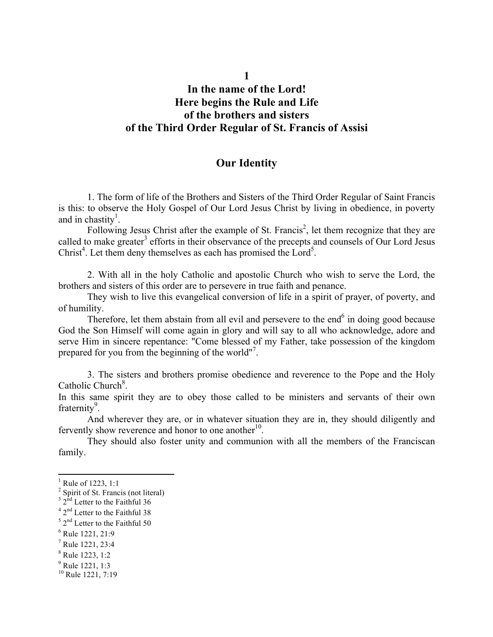# **In the name of the Lord! Here begins the Rule and Life of the brothers and sisters of the Third Order Regular of St. Francis of Assisi**

#### **Our Identity**

1. The form of life of the Brothers and Sisters of the Third Order Regular of Saint Francis is this: to observe the Holy Gospel of Our Lord Jesus Christ by living in obedience, in poverty and in chastity<sup>1</sup>.

Following Jesus Christ after the example of St. Francis<sup>2</sup>, let them recognize that they are called to make greater<sup>3</sup> efforts in their observance of the precepts and counsels of Our Lord Jesus Christ<sup>4</sup>. Let them deny themselves as each has promised the Lord<sup>5</sup>.

2. With all in the holy Catholic and apostolic Church who wish to serve the Lord, the brothers and sisters of this order are to persevere in true faith and penance.

They wish to live this evangelical conversion of life in a spirit of prayer, of poverty, and of humility.

Therefore, let them abstain from all evil and persevere to the end<sup> $6$ </sup> in doing good because God the Son Himself will come again in glory and will say to all who acknowledge, adore and serve Him in sincere repentance: "Come blessed of my Father, take possession of the kingdom prepared for you from the beginning of the world"<sup>7</sup>.

3. The sisters and brothers promise obedience and reverence to the Pope and the Holy Catholic Church<sup>8</sup>.

In this same spirit they are to obey those called to be ministers and servants of their own fraternity<sup>9</sup>.

And wherever they are, or in whatever situation they are in, they should diligently and fervently show reverence and honor to one another $10$ .

They should also foster unity and communion with all the members of the Franciscan family.

 $1$  Rule of 1223, 1:1

 $2$  Spirit of St. Francis (not literal)

 $32<sup>nd</sup>$  Letter to the Faithful 36

<sup>4</sup> 2nd Letter to the Faithful 38

 $5$  2<sup>nd</sup> Letter to the Faithful 50

 $6$  Rule 1221, 21:9

<sup>7</sup> Rule 1221, 23:4

<sup>8</sup> Rule 1223, 1:2

 $9^9$  Rule 1221, 1:3

<sup>&</sup>lt;sup>10</sup> Rule 1221, 7:19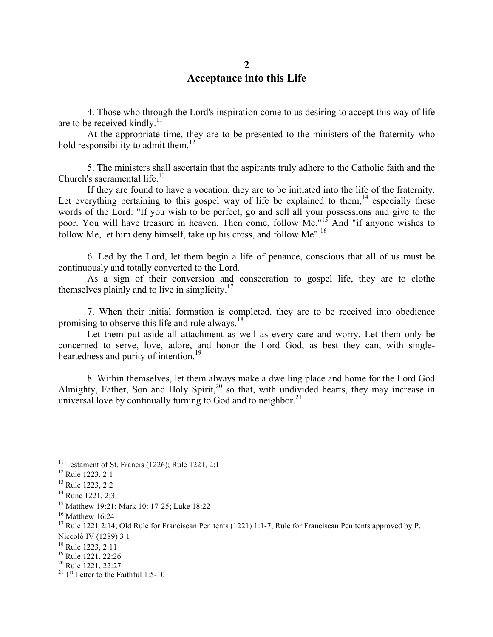### **2 Acceptance into this Life**

4. Those who through the Lord's inspiration come to us desiring to accept this way of life are to be received kindly. $11$ 

At the appropriate time, they are to be presented to the ministers of the fraternity who hold responsibility to admit them.<sup>12</sup>

5. The ministers shall ascertain that the aspirants truly adhere to the Catholic faith and the Church's sacramental life. $13$ 

If they are found to have a vocation, they are to be initiated into the life of the fraternity. Let everything pertaining to this gospel way of life be explained to them,<sup>14</sup> especially these words of the Lord: "If you wish to be perfect, go and sell all your possessions and give to the poor. You will have treasure in heaven. Then come, follow Me."<sup>15</sup> And "if anyone wishes to follow Me, let him deny himself, take up his cross, and follow Me".16

6. Led by the Lord, let them begin a life of penance, conscious that all of us must be continuously and totally converted to the Lord.

As a sign of their conversion and consecration to gospel life, they are to clothe themselves plainly and to live in simplicity. $17$ 

7. When their initial formation is completed, they are to be received into obedience promising to observe this life and rule always.<sup>18</sup>

Let them put aside all attachment as well as every care and worry. Let them only be concerned to serve, love, adore, and honor the Lord God, as best they can, with singleheartedness and purity of intention.<sup>19</sup>

8. Within themselves, let them always make a dwelling place and home for the Lord God Almighty, Father, Son and Holy Spirit,<sup>20</sup> so that, with undivided hearts, they may increase in universal love by continually turning to God and to neighbor. $21$ 

<sup>&</sup>lt;sup>11</sup> Testament of St. Francis (1226); Rule 1221, 2:1

<sup>12</sup> Rule 1223, 2:1

<sup>13</sup> Rule 1223, 2:2

<sup>&</sup>lt;sup>14</sup> Rune 1221, 2:3

<sup>15</sup> Matthew 19:21; Mark 10: 17-25; Luke 18:22

 $16$ <sup>16</sup> Matthew 16:24

<sup>&</sup>lt;sup>17</sup> Rule 1221 2:14; Old Rule for Franciscan Penitents (1221) 1:1-7; Rule for Franciscan Penitents approved by P. Niccolò IV (1289) 3:1

<sup>&</sup>lt;sup>18</sup> Rule 1223, 2:11<br><sup>19</sup> Rule 1221, 22:26<br><sup>20</sup> Rule 1221, 22:27<br><sup>21</sup> 1<sup>st</sup> Letter to the Faithful 1:5-10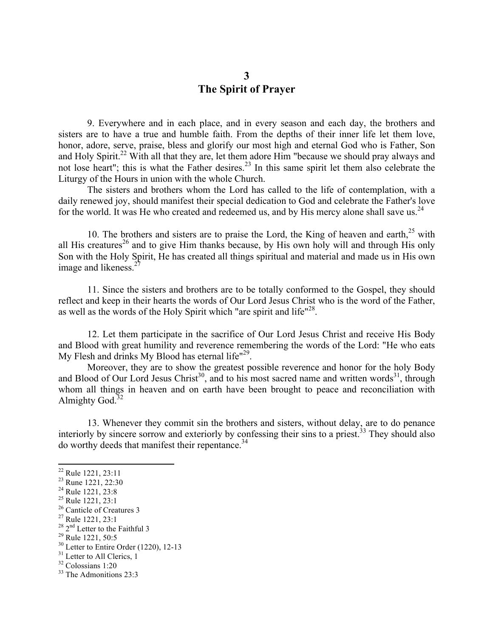### **3 The Spirit of Prayer**

9. Everywhere and in each place, and in every season and each day, the brothers and sisters are to have a true and humble faith. From the depths of their inner life let them love, honor, adore, serve, praise, bless and glorify our most high and eternal God who is Father, Son and Holy Spirit.<sup>22</sup> With all that they are, let them adore Him "because we should pray always and not lose heart"; this is what the Father desires.<sup>23</sup> In this same spirit let them also celebrate the Liturgy of the Hours in union with the whole Church.

The sisters and brothers whom the Lord has called to the life of contemplation, with a daily renewed joy, should manifest their special dedication to God and celebrate the Father's love for the world. It was He who created and redeemed us, and by His mercy alone shall save us.<sup>24</sup>

10. The brothers and sisters are to praise the Lord, the King of heaven and earth, $25$  with all His creatures<sup>26</sup> and to give Him thanks because, by His own holy will and through His only Son with the Holy Spirit, He has created all things spiritual and material and made us in His own image and likeness.<sup>2</sup>

11. Since the sisters and brothers are to be totally conformed to the Gospel, they should reflect and keep in their hearts the words of Our Lord Jesus Christ who is the word of the Father, as well as the words of the Holy Spirit which "are spirit and life"<sup>28</sup>.

12. Let them participate in the sacrifice of Our Lord Jesus Christ and receive His Body and Blood with great humility and reverence remembering the words of the Lord: "He who eats My Flesh and drinks My Blood has eternal life"<sup>29</sup>.

Moreover, they are to show the greatest possible reverence and honor for the holy Body and Blood of Our Lord Jesus Christ<sup>30</sup>, and to his most sacred name and written words<sup>31</sup>, through whom all things in heaven and on earth have been brought to peace and reconciliation with Almighty God. $32$ 

13. Whenever they commit sin the brothers and sisters, without delay, are to do penance interiorly by sincere sorrow and exteriorly by confessing their sins to a priest.<sup>33</sup> They should also do worthy deeds that manifest their repentance.<sup>34</sup>

<sup>&</sup>lt;sup>22</sup> Rule 1221, 23:11<br>
<sup>23</sup> Rune 1221, 22:30<br>
<sup>24</sup> Rule 1221, 23:8<br>
<sup>25</sup> Rule 1221, 23:1<br>
<sup>26</sup> Canticle of Creatures 3<br>
<sup>27</sup> Rule 1221, 23:1<br>
<sup>28</sup> 2<sup>nd</sup> Letter to the Faithful 3<br>
<sup>29</sup> Rule 1221, 50:5<br>
<sup>30</sup> Letter to Entir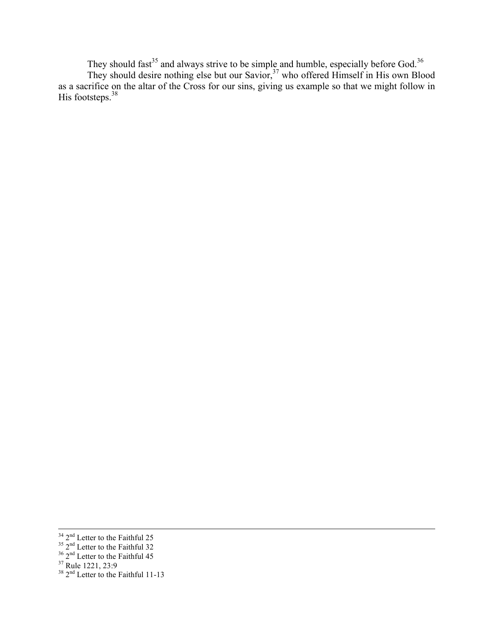They should fast<sup>35</sup> and always strive to be simple and humble, especially before God.<sup>36</sup> They should desire nothing else but our Savior,  $37$  who offered Himself in His own Blood as a sacrifice on the altar of the Cross for our sins, giving us example so that we might follow in His footsteps.<sup>38</sup>

<u> 1989 - Andrea Santa Andrea Andrea Andrea Andrea Andrea Andrea Andrea Andrea Andrea Andrea Andrea Andrea Andr</u>

<sup>&</sup>lt;sup>34</sup> 2<sup>nd</sup> Letter to the Faithful 25<br><sup>35</sup> 2<sup>nd</sup> Letter to the Faithful 32<br><sup>36</sup> 2<sup>nd</sup> Letter to the Faithful 15<br><sup>38</sup> 2<sup>nd</sup> Letter to the Faithful 11-13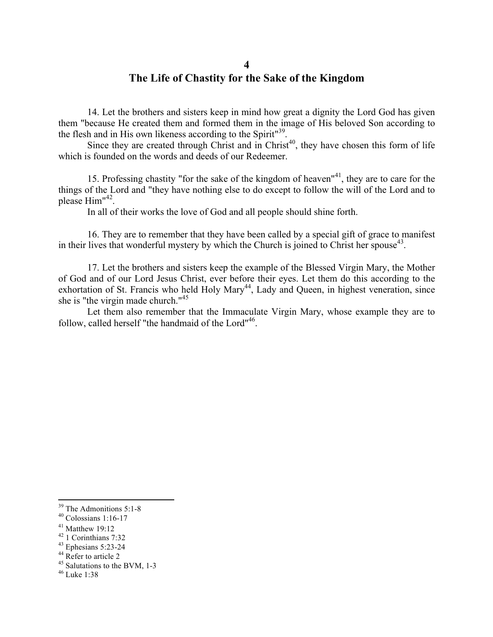#### **4**

## **The Life of Chastity for the Sake of the Kingdom**

14. Let the brothers and sisters keep in mind how great a dignity the Lord God has given them "because He created them and formed them in the image of His beloved Son according to the flesh and in His own likeness according to the Spirit<sup>"39</sup>.

Since they are created through Christ and in Christ<sup>40</sup>, they have chosen this form of life which is founded on the words and deeds of our Redeemer.

15. Professing chastity "for the sake of the kingdom of heaven"41, they are to care for the things of the Lord and "they have nothing else to do except to follow the will of the Lord and to please Him"42.

In all of their works the love of God and all people should shine forth.

16. They are to remember that they have been called by a special gift of grace to manifest in their lives that wonderful mystery by which the Church is joined to Christ her spouse<sup>43</sup>.

17. Let the brothers and sisters keep the example of the Blessed Virgin Mary, the Mother of God and of our Lord Jesus Christ, ever before their eyes. Let them do this according to the exhortation of St. Francis who held Holy Mary<sup>44</sup>, Lady and Queen, in highest veneration, since she is "the virgin made church."<sup>45</sup>

Let them also remember that the Immaculate Virgin Mary, whose example they are to follow, called herself "the handmaid of the Lord"<sup>46</sup>.

<sup>&</sup>lt;sup>39</sup> The Admonitions 5:1-8<br><sup>40</sup> Colossians 1:16-17

<sup>&</sup>lt;sup>41</sup> Matthew 19:12<br><sup>42</sup> 1 Corinthians 7:32<br><sup>43</sup> Ephesians 5:23-24<br><sup>44</sup> Refer to article 2<br><sup>45</sup> Salutations to the BVM, 1-3<br><sup>46</sup> Luke 1:38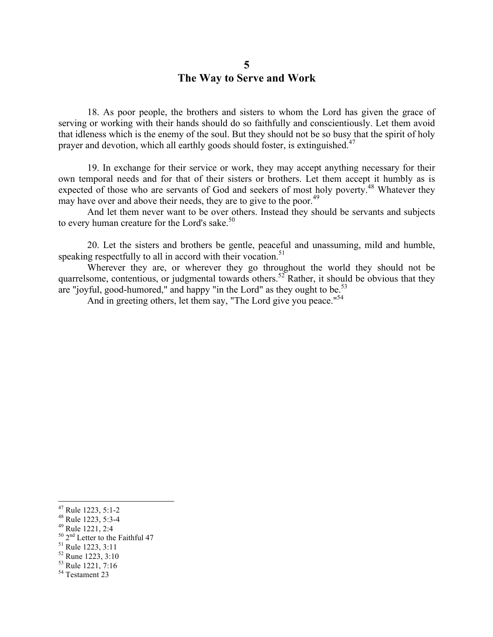#### **5 The Way to Serve and Work**

18. As poor people, the brothers and sisters to whom the Lord has given the grace of serving or working with their hands should do so faithfully and conscientiously. Let them avoid that idleness which is the enemy of the soul. But they should not be so busy that the spirit of holy prayer and devotion, which all earthly goods should foster, is extinguished.<sup>47</sup>

19. In exchange for their service or work, they may accept anything necessary for their own temporal needs and for that of their sisters or brothers. Let them accept it humbly as is expected of those who are servants of God and seekers of most holy poverty.<sup>48</sup> Whatever they may have over and above their needs, they are to give to the poor.<sup>49</sup>

And let them never want to be over others. Instead they should be servants and subjects to every human creature for the Lord's sake. $50$ 

20. Let the sisters and brothers be gentle, peaceful and unassuming, mild and humble, speaking respectfully to all in accord with their vocation.<sup>51</sup>

Wherever they are, or wherever they go throughout the world they should not be quarrelsome, contentious, or judgmental towards others.<sup>52</sup> Rather, it should be obvious that they are "joyful, good-humored," and happy "in the Lord" as they ought to be.<sup>53</sup>

And in greeting others, let them say, "The Lord give you peace."<sup>54</sup>

<sup>&</sup>lt;sup>47</sup> Rule 1223, 5:1-2<br><sup>48</sup> Rule 1223, 5:3-4<br><sup>49</sup> Rule 1221, 2:4<br><sup>50</sup> 2<sup>nd</sup> Letter to the Faithful 47<br><sup>51</sup> Rule 1223, 3:11<br><sup>52</sup> Rune 1223, 3:10<br><sup>53</sup> Rule 1221, 7:16<br><sup>54</sup> Testament 23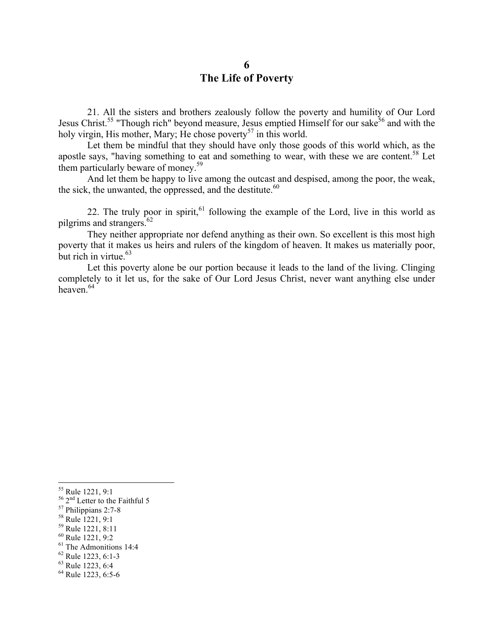## **6 The Life of Poverty**

21. All the sisters and brothers zealously follow the poverty and humility of Our Lord Jesus Christ.<sup>55</sup> "Though rich" beyond measure, Jesus emptied Himself for our sake<sup>56</sup> and with the holy virgin, His mother, Mary; He chose poverty<sup>57</sup> in this world.

Let them be mindful that they should have only those goods of this world which, as the apostle says, "having something to eat and something to wear, with these we are content.<sup>58</sup> Let them particularly beware of money.<sup>59</sup>

And let them be happy to live among the outcast and despised, among the poor, the weak, the sick, the unwanted, the oppressed, and the destitute. $60$ 

22. The truly poor in spirit,  $61$  following the example of the Lord, live in this world as pilgrims and strangers. $62$ 

They neither appropriate nor defend anything as their own. So excellent is this most high poverty that it makes us heirs and rulers of the kingdom of heaven. It makes us materially poor, but rich in virtue. $63$ 

Let this poverty alone be our portion because it leads to the land of the living. Clinging completely to it let us, for the sake of Our Lord Jesus Christ, never want anything else under heaven $64$ 

<sup>&</sup>lt;sup>55</sup> Rule 1221, 9:1<br>
<sup>56</sup> 2<sup>nd</sup> Letter to the Faithful 5<br>
<sup>57</sup> Philippians 2:7-8<br>
<sup>58</sup> Rule 1221, 9:1<br>
<sup>69</sup> Rule 1221, 9:2<br>
<sup>61</sup> The Admonitions 14:4<br>
<sup>62</sup> Rule 1223, 6:1-3<br>
<sup>63</sup> Rule 1223, 6:4<br>
<sup>64</sup> Rule 1223, 6:5-6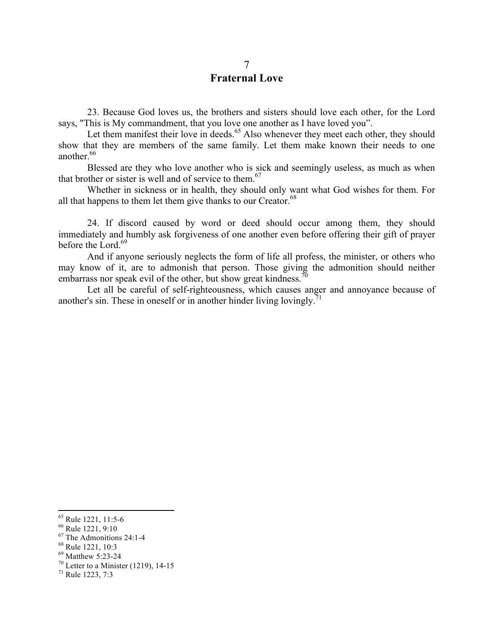## 7 **Fraternal Love**

23. Because God loves us, the brothers and sisters should love each other, for the Lord says, "This is My commandment, that you love one another as I have loved you".

Let them manifest their love in deeds.<sup>65</sup> Also whenever they meet each other, they should show that they are members of the same family. Let them make known their needs to one another.<sup>66</sup>

Blessed are they who love another who is sick and seemingly useless, as much as when that brother or sister is well and of service to them. $67$ 

Whether in sickness or in health, they should only want what God wishes for them. For all that happens to them let them give thanks to our Creator. $^{68}$ 

24. If discord caused by word or deed should occur among them, they should immediately and humbly ask forgiveness of one another even before offering their gift of prayer before the Lord.<sup>69</sup>

And if anyone seriously neglects the form of life all profess, the minister, or others who may know of it, are to admonish that person. Those giving the admonition should neither embarrass nor speak evil of the other, but show great kindness.<sup>70</sup>

Let all be careful of self-righteousness, which causes anger and annoyance because of another's sin. These in oneself or in another hinder living lovingly.<sup>71</sup>

 

<sup>&</sup>lt;sup>65</sup> Rule 1221, 11:5-6<br>
<sup>66</sup> Rule 1221, 9:10<br>
<sup>67</sup> The Admonitions 24:1-4<br>
<sup>68</sup> Rule 1221, 10:3<br>
<sup>69</sup> Matthew 5:23-24<br>
<sup>70</sup> Letter to a Minister (1219), 14-15<br>
<sup>71</sup> Rule 1223, 7:3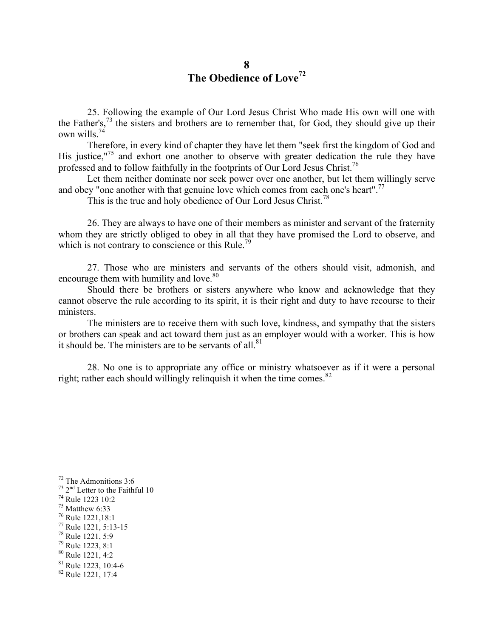## **8 The Obedience of Love<sup>72</sup>**

25. Following the example of Our Lord Jesus Christ Who made His own will one with the Father's,<sup>73</sup> the sisters and brothers are to remember that, for God, they should give up their own wills. $\frac{7}{4}$ 

Therefore, in every kind of chapter they have let them "seek first the kingdom of God and His justice,"<sup>75</sup> and exhort one another to observe with greater dedication the rule they have professed and to follow faithfully in the footprints of Our Lord Jesus Christ.<sup>76</sup>

Let them neither dominate nor seek power over one another, but let them willingly serve and obey "one another with that genuine love which comes from each one's heart".<sup>77</sup>

This is the true and holy obedience of Our Lord Jesus Christ.<sup>78</sup>

26. They are always to have one of their members as minister and servant of the fraternity whom they are strictly obliged to obey in all that they have promised the Lord to observe, and which is not contrary to conscience or this Rule.<sup>79</sup>

27. Those who are ministers and servants of the others should visit, admonish, and encourage them with humility and love.<sup>80</sup>

Should there be brothers or sisters anywhere who know and acknowledge that they cannot observe the rule according to its spirit, it is their right and duty to have recourse to their ministers.

The ministers are to receive them with such love, kindness, and sympathy that the sisters or brothers can speak and act toward them just as an employer would with a worker. This is how it should be. The ministers are to be servants of all. $81$ 

28. No one is to appropriate any office or ministry whatsoever as if it were a personal right; rather each should willingly relinquish it when the time comes.<sup>82</sup>

- 
- 
- 
- $80$  Rule 1221, 4:2
- $<sup>81</sup>$  Rule 1223, 10:4-6<br> $<sup>82</sup>$  Rule 1221, 17:4</sup></sup>
- 

 $72$  The Admonitions 3:6

<sup>&</sup>lt;sup>73</sup> 2<sup>nd</sup> Letter to the Faithful 10<br>
<sup>74</sup> Rule 1223 10:2<br>
<sup>75</sup> Matthew 6:33<br>
<sup>76</sup> Rule 1221,18:1<br>
<sup>77</sup> Rule 1221, 5:13-15<br>
<sup>78</sup> Rule 1221, 5:9<br>
<sup>79</sup> Rule 1223, 8:1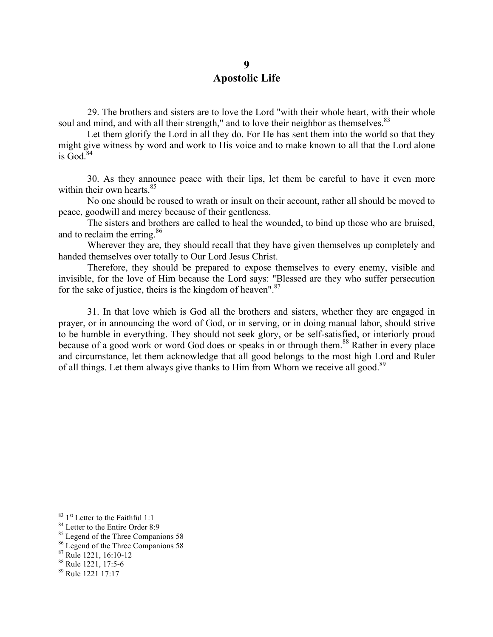## **9 Apostolic Life**

29. The brothers and sisters are to love the Lord "with their whole heart, with their whole soul and mind, and with all their strength," and to love their neighbor as themselves. <sup>83</sup>

Let them glorify the Lord in all they do. For He has sent them into the world so that they might give witness by word and work to His voice and to make known to all that the Lord alone is  $\text{God}^{84}$ 

30. As they announce peace with their lips, let them be careful to have it even more within their own hearts. $85$ 

No one should be roused to wrath or insult on their account, rather all should be moved to peace, goodwill and mercy because of their gentleness.

The sisters and brothers are called to heal the wounded, to bind up those who are bruised, and to reclaim the erring.<sup>86</sup>

Wherever they are, they should recall that they have given themselves up completely and handed themselves over totally to Our Lord Jesus Christ.

Therefore, they should be prepared to expose themselves to every enemy, visible and invisible, for the love of Him because the Lord says: "Blessed are they who suffer persecution for the sake of justice, theirs is the kingdom of heaven".<sup>87</sup>

31. In that love which is God all the brothers and sisters, whether they are engaged in prayer, or in announcing the word of God, or in serving, or in doing manual labor, should strive to be humble in everything. They should not seek glory, or be self-satisfied, or interiorly proud because of a good work or word God does or speaks in or through them.<sup>88</sup> Rather in every place and circumstance, let them acknowledge that all good belongs to the most high Lord and Ruler of all things. Let them always give thanks to Him from Whom we receive all good.<sup>89</sup>

<u> 1989 - Jan Samuel Barbara, margaret e</u>

<sup>&</sup>lt;sup>83</sup> 1<sup>st</sup> Letter to the Faithful 1:1<br><sup>84</sup> Letter to the Entire Order 8:9<br><sup>85</sup> Legend of the Three Companions 58<br><sup>86</sup> Rule 1221, 16:10-12<br><sup>88</sup> Rule 1221, 17:5-6

<sup>89</sup> Rule 1221 17:17